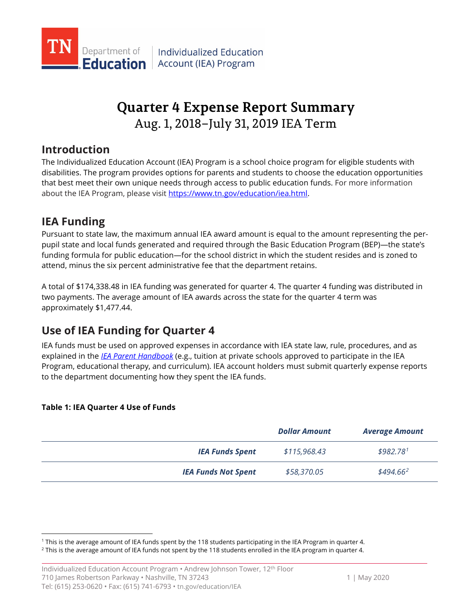

# Aug. 1, 2018–July 31, 2019 IEA Term **Quarter 4 Expense Report Summary**

## **Introduction**

The Individualized Education Account (IEA) Program is a school choice program for eligible students with disabilities. The program provides options for parents and students to choose the education opportunities that best meet their own unique needs through access to public education funds. For more information about the IEA Program, please visi[t https://www.tn.gov/education/iea.html.](https://www.tn.gov/education/iea.html)

# **IEA Funding**

attend, minus the six percent administrative fee that the department retains. Pursuant to state law, the maximum annual IEA award amount is equal to the amount representing the perpupil state and local funds generated and required through the Basic Education Program (BEP)—the state's funding formula for public education—for the school district in which the student resides and is zoned to

 approximately \$[1,477.44.](https://1,477.44) A total of [\\$174,338.48](https://174,338.48) in IEA funding was generated for quarter 4. The quarter 4 funding was distributed in two payments. The average amount of IEA awards across the state for the quarter 4 term was

# **Use of IEA Funding for Quarter 4**

IEA funds must be used on approved expenses in accordance with IEA state law, rule, procedures, and as explained in the *[IEA Parent Handbook](https://www.tn.gov/education/iea/iea-resources.html)* (e.g., tuition at private schools approved to participate in the IEA Program, educational therapy, and curriculum). IEA account holders must submit quarterly expense reports to the department documenting how they spent the IEA funds.

### **Table 1: IEA Quarter 4 Use of Funds**

-

|                            | <b>Dollar Amount</b> | <b>Average Amount</b> |
|----------------------------|----------------------|-----------------------|
| <b>IEA Funds Spent</b>     | \$115,968.43         | \$982.78 <sup>1</sup> |
| <b>IEA Funds Not Spent</b> | \$58,370.05          | $$494.66^2$           |

<span id="page-0-1"></span><span id="page-0-0"></span><sup>&</sup>lt;sup>1</sup> This is the average amount of IEA funds spent by the 118 students participating in the IEA Program in quarter 4.

<sup>&</sup>lt;sup>1</sup> This is the average amount of IEA funds spent by the 118 students participating in the IEA Program in quarter 4.<br><sup>2</sup> This is the average amount of IEA funds not spent by the 118 students enrolled in the IEA program in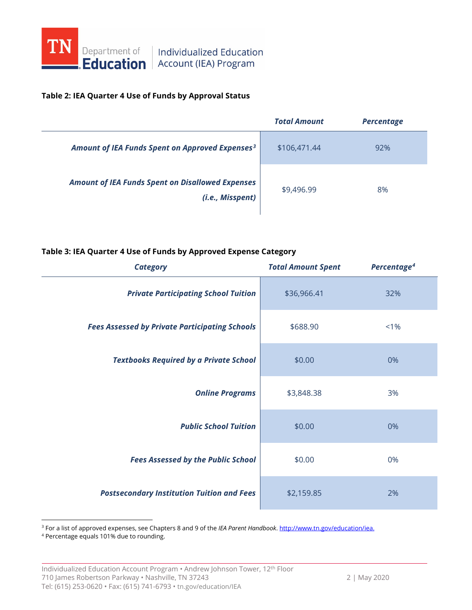

# **Education** Account (IEA) Program

#### **Table 2: IEA Quarter 4 Use of Funds by Approval Status**

|                                                                             | <b>Total Amount</b> | <b>Percentage</b> |
|-----------------------------------------------------------------------------|---------------------|-------------------|
| Amount of IEA Funds Spent on Approved Expenses <sup>3</sup>                 | \$106,471.44        | 92%               |
| <b>Amount of IEA Funds Spent on Disallowed Expenses</b><br>(i.e., Misspent) | \$9,496.99          | 8%                |

#### **Table 3: IEA Quarter 4 Use of Funds by Approved Expense Category**

| <b>Category</b>                                       | <b>Total Amount Spent</b> | Percentage <sup>4</sup> |
|-------------------------------------------------------|---------------------------|-------------------------|
| <b>Private Participating School Tuition</b>           | \$36,966.41               | 32%                     |
| <b>Fees Assessed by Private Participating Schools</b> | \$688.90                  | $< 1\%$                 |
| <b>Textbooks Required by a Private School</b>         | \$0.00                    | 0%                      |
| <b>Online Programs</b>                                | \$3,848.38                | 3%                      |
| <b>Public School Tuition</b>                          | \$0.00                    | 0%                      |
| <b>Fees Assessed by the Public School</b>             | \$0.00                    | 0%                      |
| <b>Postsecondary Institution Tuition and Fees</b>     | \$2,159.85                | 2%                      |

<span id="page-1-0"></span><sup>3</sup> For a list of approved expenses, see Chapters 8 and 9 of the *IEA Parent Handbook*. <u>http://www.tn.gov/education/iea.</u><br><sup>4</sup> Percentage equals 101% due to rounding.

<span id="page-1-1"></span>

 $\overline{\phantom{a}}$